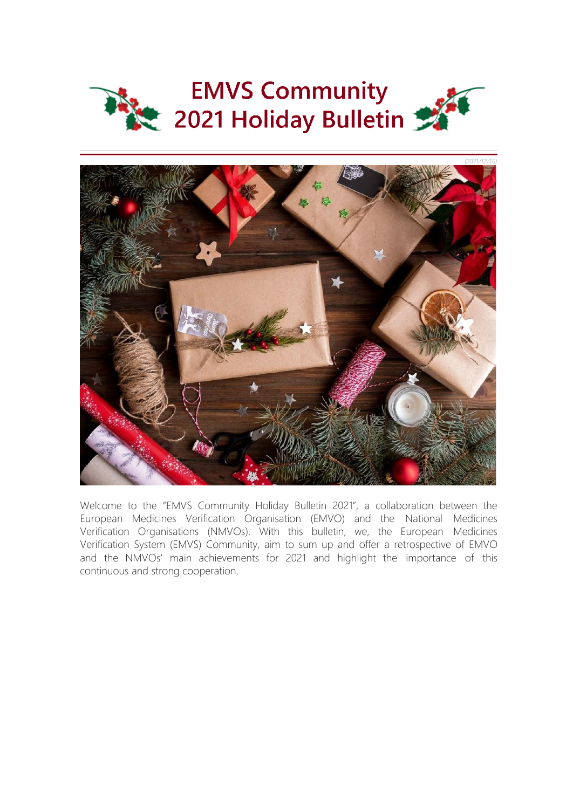



Welcome to the "EMVS Community Holiday Bulletin 2021", a collaboration between the European Medicines Verification Organisation (EMVO) and the National Medicines Verification Organisations (NMVOs). With this bulletin, we, the European Medicines Verification System (EMVS) Community, aim to sum up and offer a retrospective of EMVO and the NMVOs' main achievements for 2021 and highlight the importance of this continuous and strong cooperation.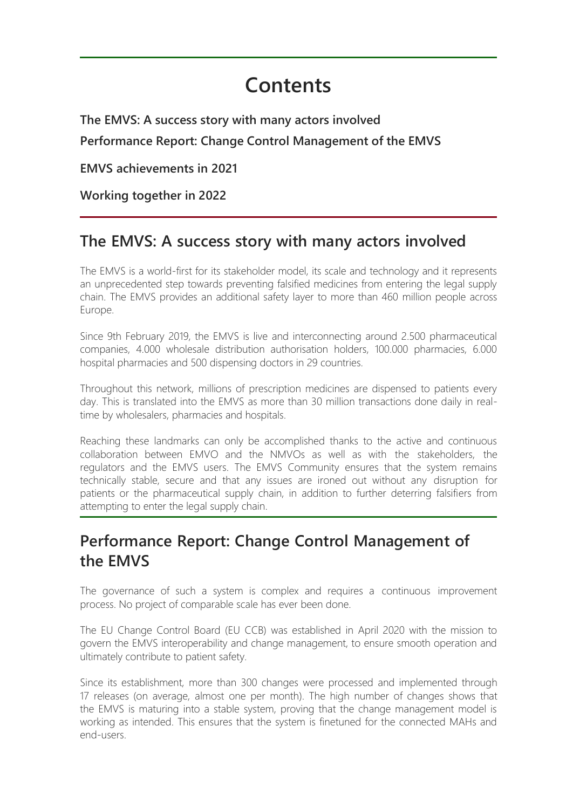# **Contents**

**The EMVS: A success story with many actors involved Performance Report: Change Control Management of the EMVS**

**EMVS achievements in 2021**

**Working together in 2022**

# **The EMVS: A success story with many actors involved**

The EMVS is a world-first for its stakeholder model, its scale and technology and it represents an unprecedented step towards preventing falsified medicines from entering the legal supply chain. The EMVS provides an additional safety layer to more than 460 million people across Europe.

Since 9th February 2019, the EMVS is live and interconnecting around 2.500 pharmaceutical companies, 4.000 wholesale distribution authorisation holders, 100.000 pharmacies, 6.000 hospital pharmacies and 500 dispensing doctors in 29 countries.

Throughout this network, millions of prescription medicines are dispensed to patients every day. This is translated into the EMVS as more than 30 million transactions done daily in realtime by wholesalers, pharmacies and hospitals.

Reaching these landmarks can only be accomplished thanks to the active and continuous collaboration between EMVO and the NMVOs as well as with the stakeholders, the regulators and the EMVS users. The EMVS Community ensures that the system remains technically stable, secure and that any issues are ironed out without any disruption for patients or the pharmaceutical supply chain, in addition to further deterring falsifiers from attempting to enter the legal supply chain.

# **Performance Report: Change Control Management of the EMVS**

The governance of such a system is complex and requires a continuous improvement process. No project of comparable scale has ever been done.

The EU Change Control Board (EU CCB) was established in April 2020 with the mission to govern the EMVS interoperability and change management, to ensure smooth operation and ultimately contribute to patient safety.

Since its establishment, more than 300 changes were processed and implemented through 17 releases (on average, almost one per month). The high number of changes shows that the EMVS is maturing into a stable system, proving that the change management model is working as intended. This ensures that the system is finetuned for the connected MAHs and end-users.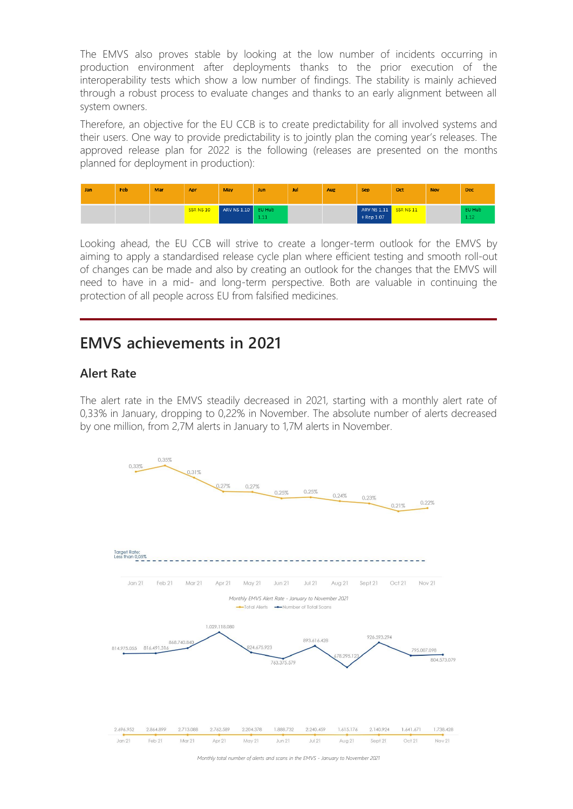The EMVS also proves stable by looking at the low number of incidents occurring in production environment after deployments thanks to the prior execution of the interoperability tests which show a low number of findings. The stability is mainly achieved through a robust process to evaluate changes and thanks to an early alignment between all system owners.

Therefore, an objective for the EU CCB is to create predictability for all involved systems and their users. One way to provide predictability is to jointly plan the coming year's releases. The approved release plan for 2022 is the following (releases are presented on the months planned for deployment in production):

| Jan | Feb. | Mar | Apr       | May         | Jun            | Jul | Aug | <b>Sep</b>                  | Oct       | <b>Nov</b> | <b>Dec</b>     |
|-----|------|-----|-----------|-------------|----------------|-----|-----|-----------------------------|-----------|------------|----------------|
|     |      |     | SSR NS 10 | ARV NS 1.10 | EU Hub<br>1.11 |     |     | ARV NS 1.11<br>$+$ Rep 1.07 | SSR NS 11 |            | EU Hub<br>1.12 |

Looking ahead, the EU CCB will strive to create a longer-term outlook for the EMVS by aiming to apply a standardised release cycle plan where efficient testing and smooth roll-out of changes can be made and also by creating an outlook for the changes that the EMVS will need to have in a mid- and long-term perspective. Both are valuable in continuing the protection of all people across EU from falsified medicines.

### **EMVS achievements in 2021**

#### **Alert Rate**

The alert rate in the EMVS steadily decreased in 2021, starting with a monthly alert rate of 0,33% in January, dropping to 0,22% in November. The absolute number of alerts decreased by one million, from 2,7M alerts in January to 1,7M alerts in November.



*Monthly total number of alerts and scans in the EMVS - January to November 2021*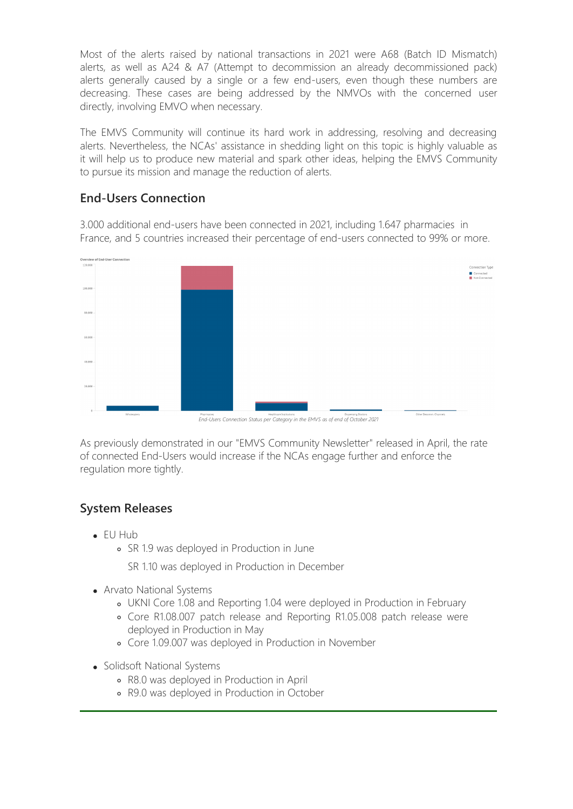Most of the alerts raised by national transactions in 2021 were A68 (Batch ID Mismatch) alerts, as well as A24 & A7 (Attempt to decommission an already decommissioned pack) alerts generally caused by a single or a few end-users, even though these numbers are decreasing. These cases are being addressed by the NMVOs with the concerned user directly, involving EMVO when necessary.

The EMVS Community will continue its hard work in addressing, resolving and decreasing alerts. Nevertheless, the NCAs' assistance in shedding light on this topic is highly valuable as it will help us to produce new material and spark other ideas, helping the EMVS Community to pursue its mission and manage the reduction of alerts.

#### **End-Users Connection**

3.000 additional end-users have been connected in 2021, including 1.647 pharmacies in France, and 5 countries increased their percentage of end-users connected to 99% or more.



*End-Users Connection Status per Category in the EMVS as of end of October 2021*

As previously demonstrated in our "EMVS Community Newsletter" released in April, the rate of connected End-Users would increase if the NCAs engage further and enforce the regulation more tightly.

#### **System Releases**

- EU Hub
	- SR 1.9 was deployed in Production in June

SR 1.10 was deployed in Production in December

- Arvato National Systems
	- UKNI Core 1.08 and Reporting 1.04 were deployed in Production in February
	- Core R1.08.007 patch release and Reporting R1.05.008 patch release were deployed in Production in May
	- Core 1.09.007 was deployed in Production in November
- Solidsoft National Systems
	- R8.0 was deployed in Production in April
	- R9.0 was deployed in Production in October